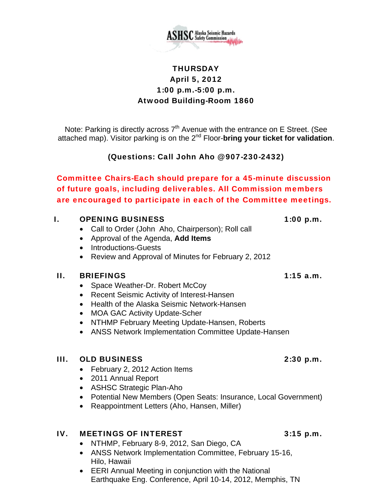

## **THURSDAY** April 5, 2012 1:00 p.m.-5:00 p.m. Atwood Building-Room 1860

Note: Parking is directly across  $7<sup>th</sup>$  Avenue with the entrance on E Street. (See attached map). Visitor parking is on the 2nd Floor-**bring your ticket for validation**.

(Questions: Call John Aho @ 907-230-2432)

Committee Chairs-Each should prepare for a 45-minute discussion of future goals, including deliverables. All Commission members are encouraged to participate in each of the Committee meetings.

## I. OPENING BUSINESS 1:00 p.m.

- Call to Order (John Aho, Chairperson); Roll call
- Approval of the Agenda, **Add Items**
- Introductions-Guests
- Review and Approval of Minutes for February 2, 2012

## II. BRIEFINGS 1:15 a.m.

- Space Weather-Dr. Robert McCoy
- Recent Seismic Activity of Interest-Hansen
- Health of the Alaska Seismic Network-Hansen
- MOA GAC Activity Update-Scher
- NTHMP February Meeting Update-Hansen, Roberts
- ANSS Network Implementation Committee Update-Hansen

## III. OLD BUSINESS 2:30 p.m.

- February 2, 2012 Action Items
- 2011 Annual Report
- ASHSC Strategic Plan-Aho
- Potential New Members (Open Seats: Insurance, Local Government)
- Reappointment Letters (Aho, Hansen, Miller)

## IV. MEETINGS OF INTEREST 3:15 p.m.

- NTHMP, February 8-9, 2012, San Diego, CA
- ANSS Network Implementation Committee, February 15-16, Hilo, Hawaii
- EERI Annual Meeting in conjunction with the National Earthquake Eng. Conference, April 10-14, 2012, Memphis, TN

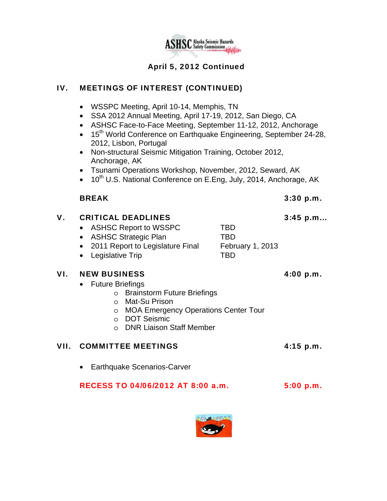

## April 5, 2012 Continued

## IV. MEETINGS OF INTEREST (CONTINUED)

- WSSPC Meeting, April 10-14, Memphis, TN
- SSA 2012 Annual Meeting, April 17-19, 2012, San Diego, CA
- ASHSC Face-to-Face Meeting, September 11-12, 2012, Anchorage
- 15<sup>th</sup> World Conference on Earthquake Engineering, September 24-28, 2012, Lisbon, Portugal
- Non-structural Seismic Mitigation Training, October 2012, Anchorage, AK
- Tsunami Operations Workshop, November, 2012, Seward, AK
- $\bullet$  10<sup>th</sup> U.S. National Conference on E.Eng, July, 2014, Anchorage, AK

## BREAK 3:30 p.m.

## V. CRITICAL DEADLINES 3:45 p.m... • ASHSC Report to WSSPC TBD • ASHSC Strategic Plan TBD • 2011 Report to Legislature Final February 1, 2013

• Legislative Trip TBD

## VI. NEW BUSINESS 4:00 p.m.

- Future Briefings
	- o Brainstorm Future Briefings
	- o Mat-Su Prison
	- o MOA Emergency Operations Center Tour
	- o DOT Seismic
	- o DNR Liaison Staff Member

## VII. COMMITTEE MEETINGS 4:15 p.m.

• Earthquake Scenarios-Carver

## RECESS TO 04/06/2012 AT 8:00 a.m. 5:00 p.m.

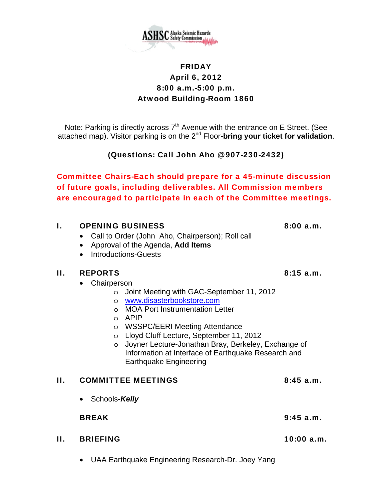

## FRIDAY April 6, 2012 8:00 a.m.-5:00 p.m. Atwood Building-Room 1860

Note: Parking is directly across  $7<sup>th</sup>$  Avenue with the entrance on E Street. (See attached map). Visitor parking is on the 2nd Floor-**bring your ticket for validation**.

(Questions: Call John Aho @ 907-230-2432)

Committee Chairs-Each should prepare for a 45-minute discussion of future goals, including deliverables. All Commission members are encouraged to participate in each of the Committee meetings.

## I. OPENING BUSINESS 8:00 a.m.

- Call to Order (John Aho, Chairperson); Roll call
- Approval of the Agenda, **Add Items**
- Introductions-Guests

## II. REPORTS 8:15 a.m.

- Chairperson
	- o Joint Meeting with GAC-September 11, 2012
		- o www.disasterbookstore.com
		- o MOA Port Instrumentation Letter
		- o APIP
		- o WSSPC/EERI Meeting Attendance
		- o Lloyd Cluff Lecture, September 11, 2012
		- o Joyner Lecture-Jonathan Bray, Berkeley, Exchange of Information at Interface of Earthquake Research and Earthquake Engineering

# II. COMMITTEE MEETINGS 8:45 a.m.

• Schools-*Kelly*

BREAK 9:45 a.m.

- II. BRIEFING 10:00 a.m.
	- UAA Earthquake Engineering Research-Dr. Joey Yang